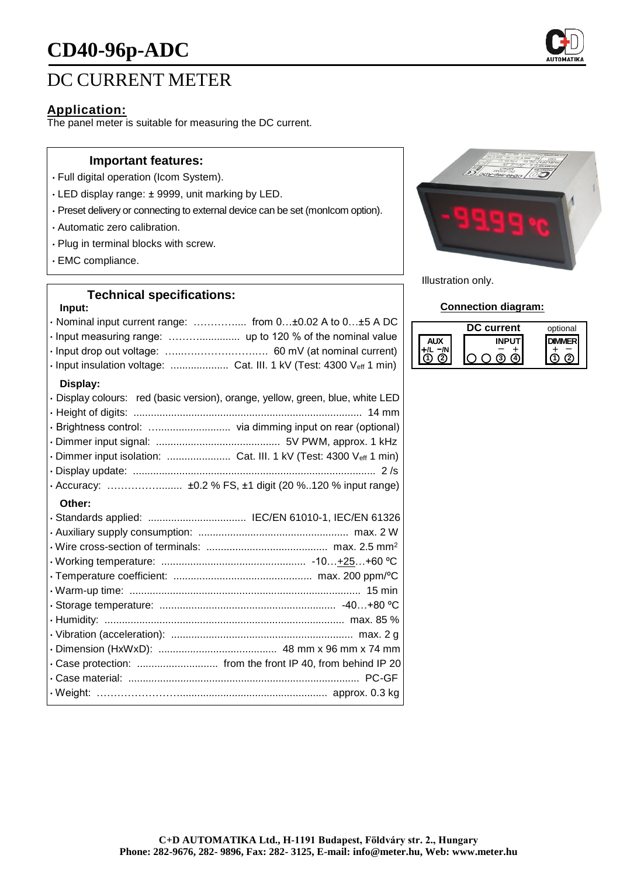# **CD40-96p-ADC**



### **Application:**

The panel meter is suitable for measuring the DC current.

#### **Important features:**

- Full digital operation (Icom System).
- LED display range: ± 9999, unit marking by LED.
- Preset delivery or connecting to external device can be set (monIcom option).
- Automatic zero calibration.
- Plug in terminal blocks with screw.
- EMC compliance.

## **Technical specifications:**

### **Input:**

| · Nominal input current range:  from 0±0.02 A to 0±5 A DC                      |  |  |
|--------------------------------------------------------------------------------|--|--|
| · Input measuring range:  up to 120 % of the nominal value                     |  |  |
|                                                                                |  |  |
| · Input insulation voltage:  Cat. III. 1 kV (Test: 4300 Veff 1 min)            |  |  |
| Display:                                                                       |  |  |
| · Display colours: red (basic version), orange, yellow, green, blue, white LED |  |  |
|                                                                                |  |  |
|                                                                                |  |  |
|                                                                                |  |  |
| · Dimmer input isolation:  Cat. III. 1 kV (Test: 4300 Veff 1 min)              |  |  |
|                                                                                |  |  |
|                                                                                |  |  |
| Other:                                                                         |  |  |
| · Standards applied:  IEC/EN 61010-1, IEC/EN 61326                             |  |  |
|                                                                                |  |  |
|                                                                                |  |  |
|                                                                                |  |  |
|                                                                                |  |  |
|                                                                                |  |  |
|                                                                                |  |  |
|                                                                                |  |  |
|                                                                                |  |  |
|                                                                                |  |  |
|                                                                                |  |  |
| . Case protection:  from the front IP 40, from behind IP 20                    |  |  |
|                                                                                |  |  |



Illustration only.

### **Connection diagram:**

| current | optional |
|---------|----------|
|         |          |
|         |          |